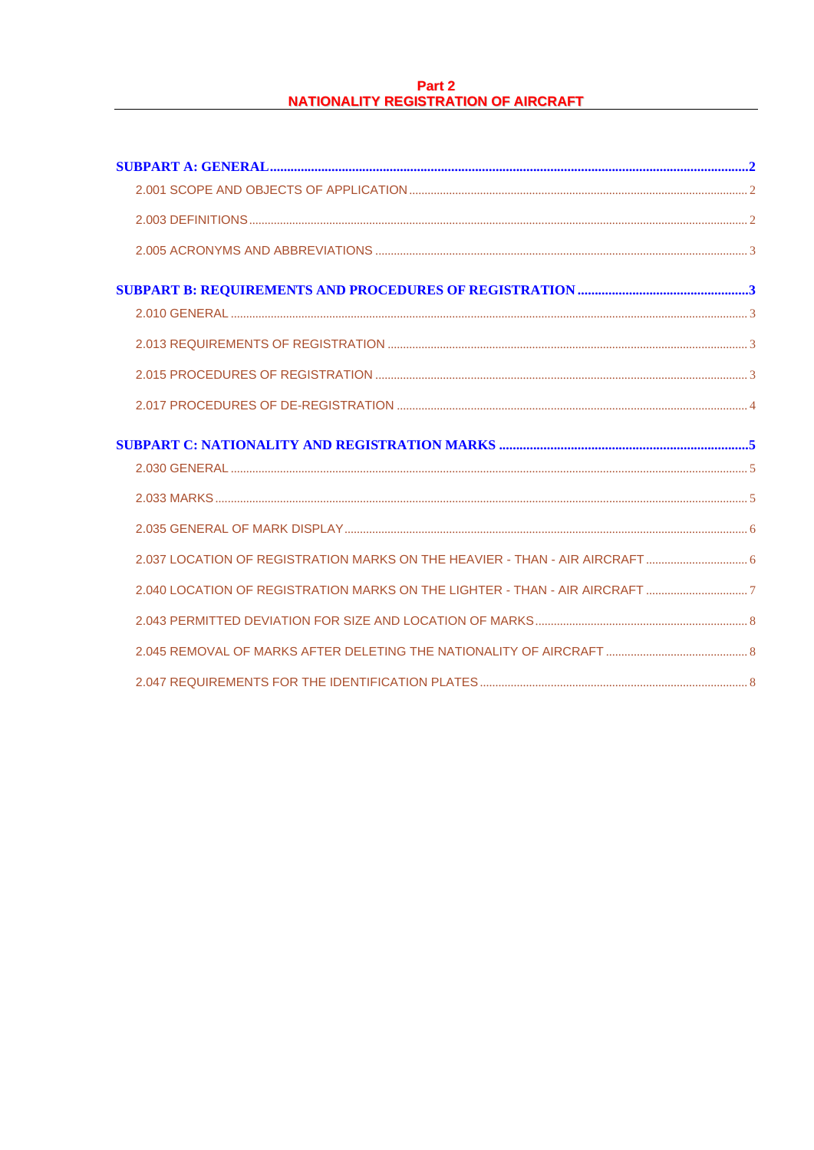## Part 2 **NATIONALITY REGISTRATION OF AIRCRAFT**

| 2.037 LOCATION OF REGISTRATION MARKS ON THE HEAVIER - THAN - AIR AIRCRAFT |  |
|---------------------------------------------------------------------------|--|
|                                                                           |  |
|                                                                           |  |
|                                                                           |  |
|                                                                           |  |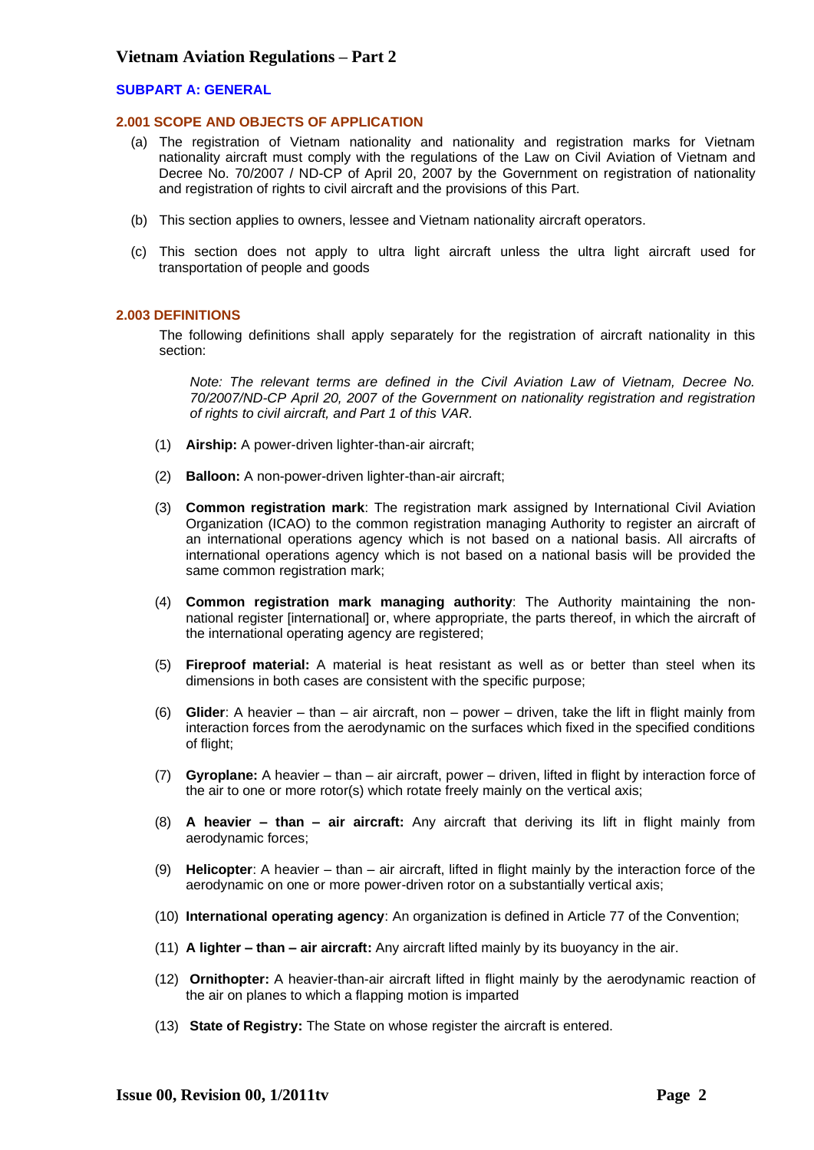#### <span id="page-1-1"></span><span id="page-1-0"></span>**SUBPART A: GENERAL**

#### **2.001 SCOPE AND OBJECTS OF APPLICATION**

- (a) The registration of Vietnam nationality and nationality and registration marks for Vietnam nationality aircraft must comply with the regulations of the Law on Civil Aviation of Vietnam and Decree No. 70/2007 / ND-CP of April 20, 2007 by the Government on registration of nationality and registration of rights to civil aircraft and the provisions of this Part.
- (b) This section applies to owners, lessee and Vietnam nationality aircraft operators.
- (c) This section does not apply to ultra light aircraft unless the ultra light aircraft used for transportation of people and goods

### <span id="page-1-2"></span>**2.003 DEFINITIONS**

The following definitions shall apply separately for the registration of aircraft nationality in this section:

*Note: The relevant terms are defined in the Civil Aviation Law of Vietnam, Decree No. 70/2007/ND-CP April 20, 2007 of the Government on nationality registration and registration of rights to civil aircraft, and Part 1 of this VAR.*

- (1) **Airship:** A power-driven lighter-than-air aircraft;
- (2) **Balloon:** A non-power-driven lighter-than-air aircraft;
- (3) **Common registration mark**: The registration mark assigned by International Civil Aviation Organization (ICAO) to the common registration managing Authority to register an aircraft of an international operations agency which is not based on a national basis. All aircrafts of international operations agency which is not based on a national basis will be provided the same common registration mark;
- (4) **Common registration mark managing authority**: The Authority maintaining the nonnational register [international] or, where appropriate, the parts thereof, in which the aircraft of the international operating agency are registered;
- (5) **Fireproof material:** A material is heat resistant as well as or better than steel when its dimensions in both cases are consistent with the specific purpose;
- (6) **Glider**: A heavier than air aircraft, non power driven, take the lift in flight mainly from interaction forces from the aerodynamic on the surfaces which fixed in the specified conditions of flight;
- (7) **Gyroplane:** A heavier than air aircraft, power driven, lifted in flight by interaction force of the air to one or more rotor(s) which rotate freely mainly on the vertical axis;
- (8) **A heavier – than – air aircraft:** Any aircraft that deriving its lift in flight mainly from aerodynamic forces;
- (9) **Helicopter**: A heavier than air aircraft, lifted in flight mainly by the interaction force of the aerodynamic on one or more power-driven rotor on a substantially vertical axis;
- (10) **International operating agency**: An organization is defined in Article 77 of the Convention;
- (11) **A lighter – than – air aircraft:** Any aircraft lifted mainly by its buoyancy in the air.
- (12) **Ornithopter:** A heavier-than-air aircraft lifted in flight mainly by the aerodynamic reaction of the air on planes to which a flapping motion is imparted
- (13) **State of Registry:** The State on whose register the aircraft is entered.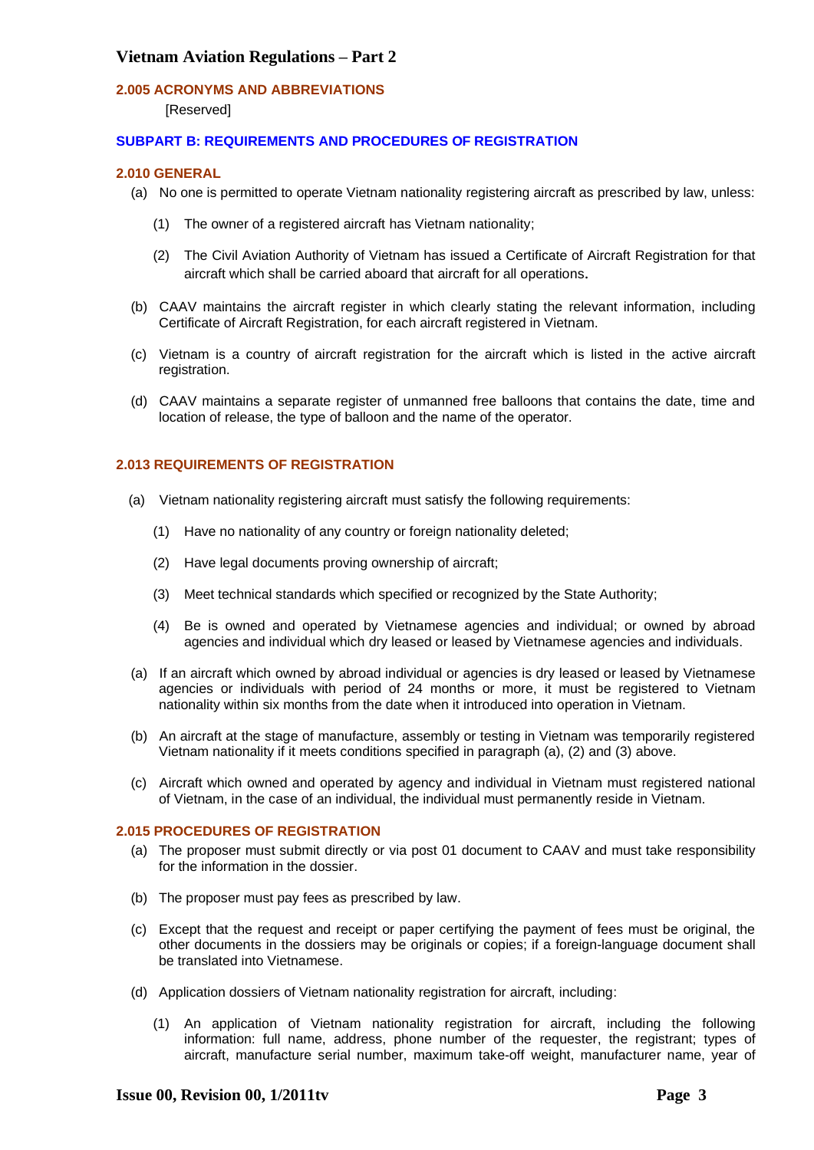## <span id="page-2-0"></span>**2.005 ACRONYMS AND ABBREVIATIONS**

[Reserved]

## <span id="page-2-2"></span><span id="page-2-1"></span>**SUBPART B: REQUIREMENTS AND PROCEDURES OF REGISTRATION**

## **2.010 GENERAL**

- (a) No one is permitted to operate Vietnam nationality registering aircraft as prescribed by law, unless:
	- (1) The owner of a registered aircraft has Vietnam nationality;
	- (2) The Civil Aviation Authority of Vietnam has issued a Certificate of Aircraft Registration for that aircraft which shall be carried aboard that aircraft for all operations.
- (b) CAAV maintains the aircraft register in which clearly stating the relevant information, including Certificate of Aircraft Registration, for each aircraft registered in Vietnam.
- (c) Vietnam is a country of aircraft registration for the aircraft which is listed in the active aircraft registration.
- (d) CAAV maintains a separate register of unmanned free balloons that contains the date, time and location of release, the type of balloon and the name of the operator.

## <span id="page-2-3"></span>**2.013 REQUIREMENTS OF REGISTRATION**

- (a) Vietnam nationality registering aircraft must satisfy the following requirements:
	- (1) Have no nationality of any country or foreign nationality deleted;
	- (2) Have legal documents proving ownership of aircraft;
	- (3) Meet technical standards which specified or recognized by the State Authority;
	- (4) Be is owned and operated by Vietnamese agencies and individual; or owned by abroad agencies and individual which dry leased or leased by Vietnamese agencies and individuals.
- (a) If an aircraft which owned by abroad individual or agencies is dry leased or leased by Vietnamese agencies or individuals with period of 24 months or more, it must be registered to Vietnam nationality within six months from the date when it introduced into operation in Vietnam.
- (b) An aircraft at the stage of manufacture, assembly or testing in Vietnam was temporarily registered Vietnam nationality if it meets conditions specified in paragraph (a), (2) and (3) above.
- (c) Aircraft which owned and operated by agency and individual in Vietnam must registered national of Vietnam, in the case of an individual, the individual must permanently reside in Vietnam.

#### <span id="page-2-4"></span>**2.015 PROCEDURES OF REGISTRATION**

- (a) The proposer must submit directly or via post 01 document to CAAV and must take responsibility for the information in the dossier.
- (b) The proposer must pay fees as prescribed by law.
- (c) Except that the request and receipt or paper certifying the payment of fees must be original, the other documents in the dossiers may be originals or copies; if a foreign-language document shall be translated into Vietnamese.
- (d) Application dossiers of Vietnam nationality registration for aircraft, including:
	- (1) An application of Vietnam nationality registration for aircraft, including the following information: full name, address, phone number of the requester, the registrant; types of aircraft, manufacture serial number, maximum take-off weight, manufacturer name, year of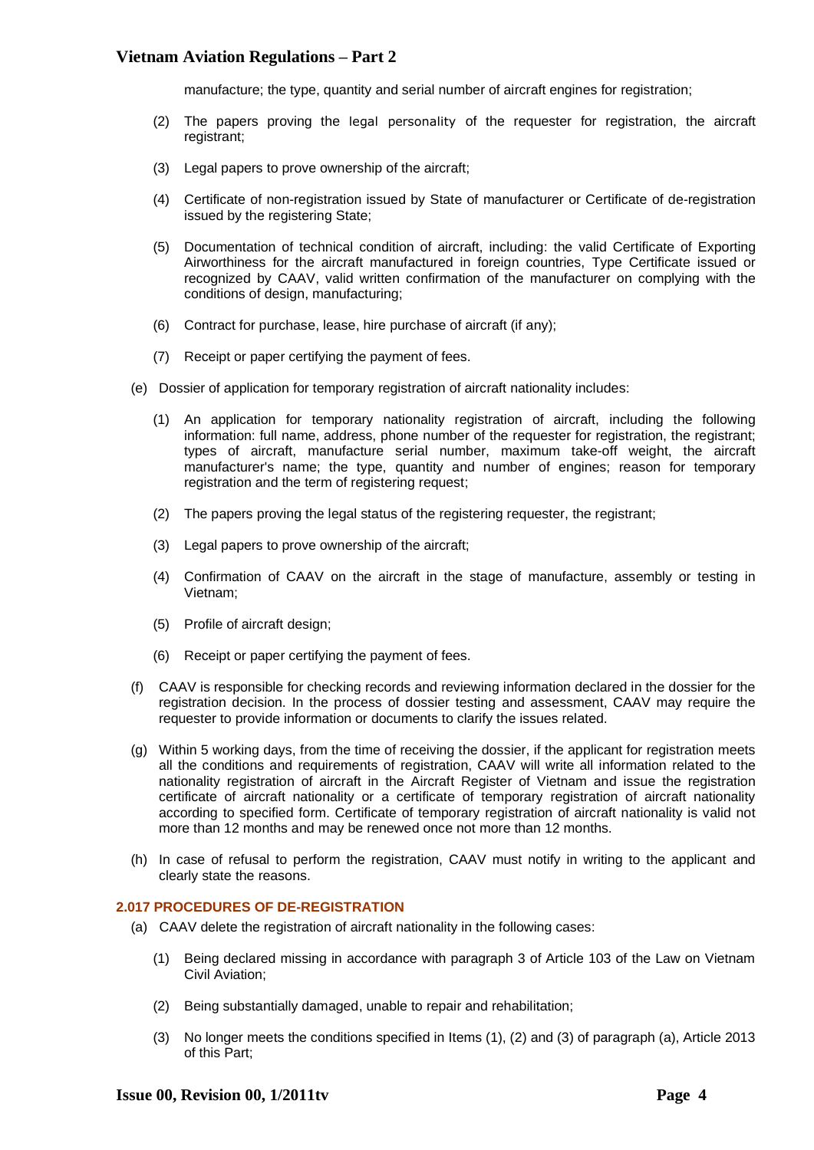manufacture; the type, quantity and serial number of aircraft engines for registration;

- (2) The papers proving the legal personality of the requester for registration, the aircraft registrant:
- (3) Legal papers to prove ownership of the aircraft;
- (4) Certificate of non-registration issued by State of manufacturer or Certificate of de-registration issued by the registering State;
- (5) Documentation of technical condition of aircraft, including: the valid Certificate of Exporting Airworthiness for the aircraft manufactured in foreign countries, Type Certificate issued or recognized by CAAV, valid written confirmation of the manufacturer on complying with the conditions of design, manufacturing;
- (6) Contract for purchase, lease, hire purchase of aircraft (if any);
- (7) Receipt or paper certifying the payment of fees.
- (e) Dossier of application for temporary registration of aircraft nationality includes:
	- (1) An application for temporary nationality registration of aircraft, including the following information: full name, address, phone number of the requester for registration, the registrant; types of aircraft, manufacture serial number, maximum take-off weight, the aircraft manufacturer's name; the type, quantity and number of engines; reason for temporary registration and the term of registering request;
	- (2) The papers proving the legal status of the registering requester, the registrant;
	- (3) Legal papers to prove ownership of the aircraft;
	- (4) Confirmation of CAAV on the aircraft in the stage of manufacture, assembly or testing in Vietnam;
	- (5) Profile of aircraft design;
	- (6) Receipt or paper certifying the payment of fees.
- (f) CAAV is responsible for checking records and reviewing information declared in the dossier for the registration decision. In the process of dossier testing and assessment, CAAV may require the requester to provide information or documents to clarify the issues related.
- (g) Within 5 working days, from the time of receiving the dossier, if the applicant for registration meets all the conditions and requirements of registration, CAAV will write all information related to the nationality registration of aircraft in the Aircraft Register of Vietnam and issue the registration certificate of aircraft nationality or a certificate of temporary registration of aircraft nationality according to specified form. Certificate of temporary registration of aircraft nationality is valid not more than 12 months and may be renewed once not more than 12 months.
- (h) In case of refusal to perform the registration, CAAV must notify in writing to the applicant and clearly state the reasons.

#### <span id="page-3-0"></span>**2.017 PROCEDURES OF DE-REGISTRATION**

- (a) CAAV delete the registration of aircraft nationality in the following cases:
	- (1) Being declared missing in accordance with paragraph 3 of Article 103 of the Law on Vietnam Civil Aviation;
	- (2) Being substantially damaged, unable to repair and rehabilitation;
	- (3) No longer meets the conditions specified in Items (1), (2) and (3) of paragraph (a), Article 2013 of this Part;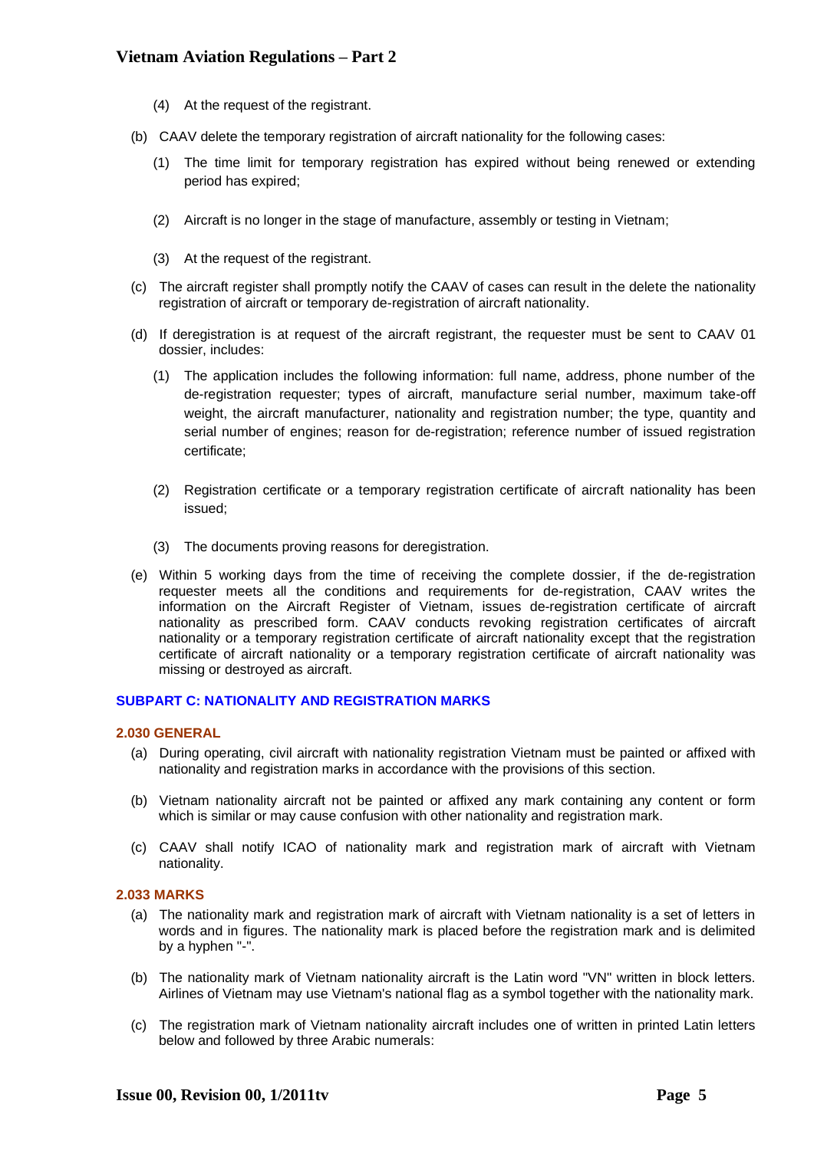- (4) At the request of the registrant.
- (b) CAAV delete the temporary registration of aircraft nationality for the following cases:
	- (1) The time limit for temporary registration has expired without being renewed or extending period has expired;
	- (2) Aircraft is no longer in the stage of manufacture, assembly or testing in Vietnam;
	- (3) At the request of the registrant.
- (c) The aircraft register shall promptly notify the CAAV of cases can result in the delete the nationality registration of aircraft or temporary de-registration of aircraft nationality.
- (d) If deregistration is at request of the aircraft registrant, the requester must be sent to CAAV 01 dossier, includes:
	- (1) The application includes the following information: full name, address, phone number of the de-registration requester; types of aircraft, manufacture serial number, maximum take-off weight, the aircraft manufacturer, nationality and registration number; the type, quantity and serial number of engines; reason for de-registration; reference number of issued registration certificate;
	- (2) Registration certificate or a temporary registration certificate of aircraft nationality has been issued;
	- (3) The documents proving reasons for deregistration.
- (e) Within 5 working days from the time of receiving the complete dossier, if the de-registration requester meets all the conditions and requirements for de-registration, CAAV writes the information on the Aircraft Register of Vietnam, issues de-registration certificate of aircraft nationality as prescribed form. CAAV conducts revoking registration certificates of aircraft nationality or a temporary registration certificate of aircraft nationality except that the registration certificate of aircraft nationality or a temporary registration certificate of aircraft nationality was missing or destroyed as aircraft.

#### <span id="page-4-1"></span><span id="page-4-0"></span>**SUBPART C: NATIONALITY AND REGISTRATION MARKS**

#### **2.030 GENERAL**

- (a) During operating, civil aircraft with nationality registration Vietnam must be painted or affixed with nationality and registration marks in accordance with the provisions of this section.
- (b) Vietnam nationality aircraft not be painted or affixed any mark containing any content or form which is similar or may cause confusion with other nationality and registration mark.
- (c) CAAV shall notify ICAO of nationality mark and registration mark of aircraft with Vietnam nationality.

## <span id="page-4-2"></span>**2.033 MARKS**

- (a) The nationality mark and registration mark of aircraft with Vietnam nationality is a set of letters in words and in figures. The nationality mark is placed before the registration mark and is delimited by a hyphen "-".
- (b) The nationality mark of Vietnam nationality aircraft is the Latin word "VN" written in block letters. Airlines of Vietnam may use Vietnam's national flag as a symbol together with the nationality mark.
- (c) The registration mark of Vietnam nationality aircraft includes one of written in printed Latin letters below and followed by three Arabic numerals: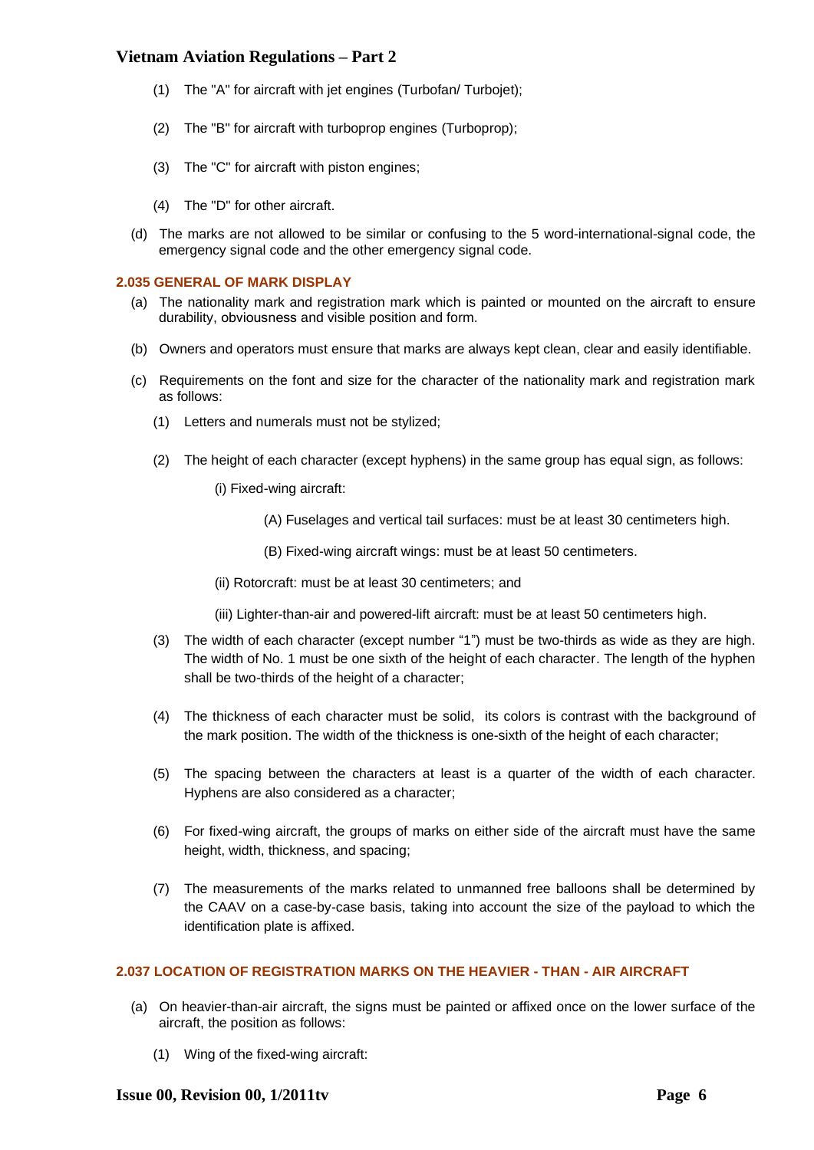- (1) The "A" for aircraft with jet engines (Turbofan/ Turbojet);
- (2) The "B" for aircraft with turboprop engines (Turboprop);
- (3) The "C" for aircraft with piston engines;
- (4) The "D" for other aircraft.
- (d) The marks are not allowed to be similar or confusing to the 5 word-international-signal code, the emergency signal code and the other emergency signal code.

### <span id="page-5-0"></span>**2.035 GENERAL OF MARK DISPLAY**

- (a) The nationality mark and registration mark which is painted or mounted on the aircraft to ensure durability, obviousness and visible position and form.
- (b) Owners and operators must ensure that marks are always kept clean, clear and easily identifiable.
- (c) Requirements on the font and size for the character of the nationality mark and registration mark as follows:
	- (1) Letters and numerals must not be stylized;
	- (2) The height of each character (except hyphens) in the same group has equal sign, as follows:
		- (i) Fixed-wing aircraft:
			- (A) Fuselages and vertical tail surfaces: must be at least 30 centimeters high.
			- (B) Fixed-wing aircraft wings: must be at least 50 centimeters.
		- (ii) Rotorcraft: must be at least 30 centimeters; and
		- (iii) Lighter-than-air and powered-lift aircraft: must be at least 50 centimeters high.
	- (3) The width of each character (except number "1") must be two-thirds as wide as they are high. The width of No. 1 must be one sixth of the height of each character. The length of the hyphen shall be two-thirds of the height of a character;
	- (4) The thickness of each character must be solid, its colors is contrast with the background of the mark position. The width of the thickness is one-sixth of the height of each character;
	- (5) The spacing between the characters at least is a quarter of the width of each character. Hyphens are also considered as a character;
	- (6) For fixed-wing aircraft, the groups of marks on either side of the aircraft must have the same height, width, thickness, and spacing;
	- (7) The measurements of the marks related to unmanned free balloons shall be determined by the CAAV on a case-by-case basis, taking into account the size of the payload to which the identification plate is affixed.

## <span id="page-5-1"></span>**2.037 LOCATION OF REGISTRATION MARKS ON THE HEAVIER - THAN - AIR AIRCRAFT**

- (a) On heavier-than-air aircraft, the signs must be painted or affixed once on the lower surface of the aircraft, the position as follows:
	- (1) Wing of the fixed-wing aircraft: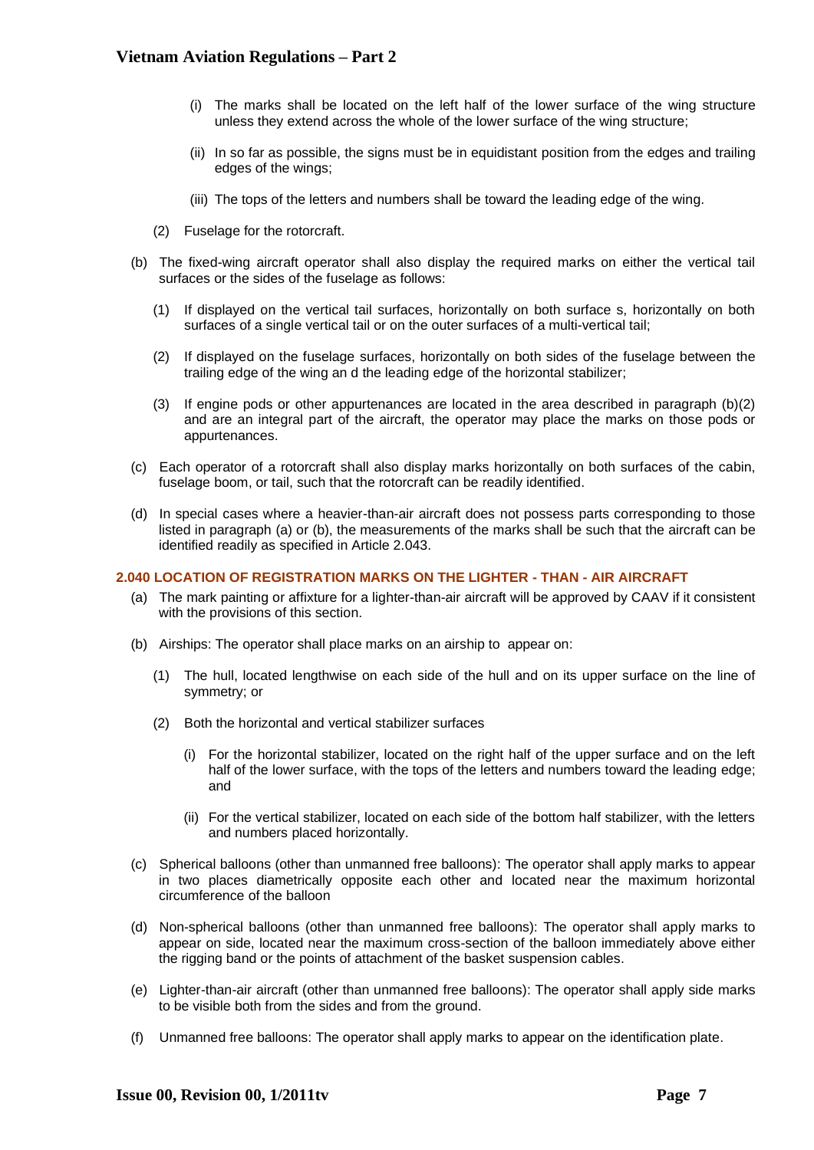- (i) The marks shall be located on the left half of the lower surface of the wing structure unless they extend across the whole of the lower surface of the wing structure;
- (ii) In so far as possible, the signs must be in equidistant position from the edges and trailing edges of the wings;
- (iii) The tops of the letters and numbers shall be toward the leading edge of the wing.
- (2) Fuselage for the rotorcraft.
- (b) The fixed-wing aircraft operator shall also display the required marks on either the vertical tail surfaces or the sides of the fuselage as follows:
	- (1) If displayed on the vertical tail surfaces, horizontally on both surface s, horizontally on both surfaces of a single vertical tail or on the outer surfaces of a multi-vertical tail;
	- (2) If displayed on the fuselage surfaces, horizontally on both sides of the fuselage between the trailing edge of the wing an d the leading edge of the horizontal stabilizer;
	- (3) If engine pods or other appurtenances are located in the area described in paragraph (b)(2) and are an integral part of the aircraft, the operator may place the marks on those pods or appurtenances.
- (c) Each operator of a rotorcraft shall also display marks horizontally on both surfaces of the cabin, fuselage boom, or tail, such that the rotorcraft can be readily identified.
- (d) In special cases where a heavier-than-air aircraft does not possess parts corresponding to those listed in paragraph (a) or (b), the measurements of the marks shall be such that the aircraft can be identified readily as specified in Article 2.043.

#### <span id="page-6-0"></span>**2.040 LOCATION OF REGISTRATION MARKS ON THE LIGHTER - THAN - AIR AIRCRAFT**

- (a) The mark painting or affixture for a lighter-than-air aircraft will be approved by CAAV if it consistent with the provisions of this section.
- (b) Airships: The operator shall place marks on an airship to appear on:
	- (1) The hull, located lengthwise on each side of the hull and on its upper surface on the line of symmetry; or
	- (2) Both the horizontal and vertical stabilizer surfaces
		- (i) For the horizontal stabilizer, located on the right half of the upper surface and on the left half of the lower surface, with the tops of the letters and numbers toward the leading edge; and
		- (ii) For the vertical stabilizer, located on each side of the bottom half stabilizer, with the letters and numbers placed horizontally.
- (c) Spherical balloons (other than unmanned free balloons): The operator shall apply marks to appear in two places diametrically opposite each other and located near the maximum horizontal circumference of the balloon
- (d) Non-spherical balloons (other than unmanned free balloons): The operator shall apply marks to appear on side, located near the maximum cross-section of the balloon immediately above either the rigging band or the points of attachment of the basket suspension cables.
- (e) Lighter-than-air aircraft (other than unmanned free balloons): The operator shall apply side marks to be visible both from the sides and from the ground.
- (f) Unmanned free balloons: The operator shall apply marks to appear on the identification plate.